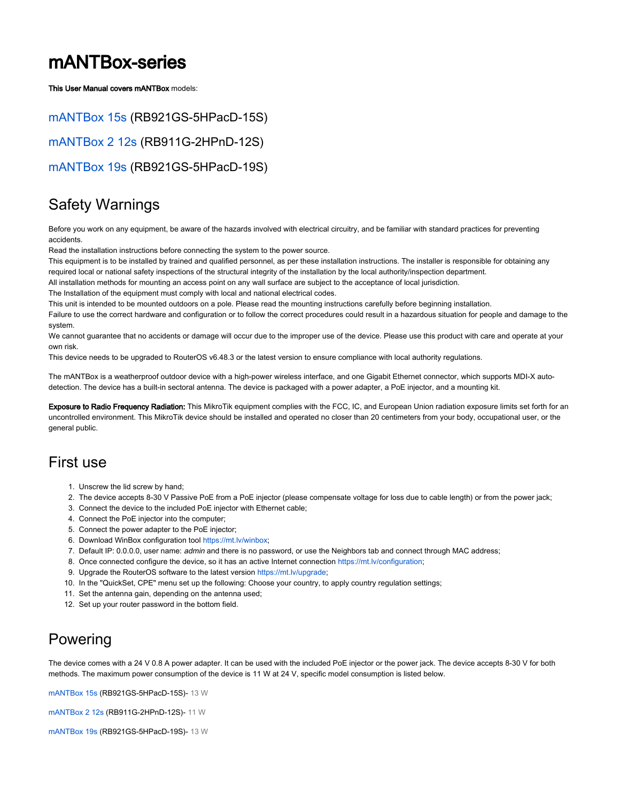# mANTBox-series

[This User Manual covers mANTBox models:](https://mikrotik.com/product/mantbox_2_12s)

[mANTBox 15s](https://mikrotik.com/product/RB921GS-5HPacD-15S) (RB921GS-5HPacD-15S) [mANTBox 2 12s](https://mikrotik.com/product/mantbox_2_12s) (RB911G-2HPnD-12S) [mANTBox 19s](https://mikrotik.com/product/RB921GS-5HPacD-19S) (RB921GS-5HPacD-19S)

## Safety Warnings

Before you work on any equipment, be aware of the hazards involved with electrical circuitry, and be familiar with standard practices for preventing accidents.

Read the installation instructions before connecting the system to the power source.

This equipment is to be installed by trained and qualified personnel, as per these installation instructions. The installer is responsible for obtaining any required local or national safety inspections of the structural integrity of the installation by the local authority/inspection department.

All installation methods for mounting an access point on any wall surface are subject to the acceptance of local jurisdiction.

The Installation of the equipment must comply with local and national electrical codes.

This unit is intended to be mounted outdoors on a pole. Please read the mounting instructions carefully before beginning installation.

Failure to use the correct hardware and configuration or to follow the correct procedures could result in a hazardous situation for people and damage to the system.

We cannot guarantee that no accidents or damage will occur due to the improper use of the device. Please use this product with care and operate at your own risk.

This device needs to be upgraded to RouterOS v6.48.3 or the latest version to ensure compliance with local authority regulations.

The mANTBox is a weatherproof outdoor device with a high-power wireless interface, and one Gigabit Ethernet connector, which supports MDI-X autodetection. The device has a built-in sectoral antenna. The device is packaged with a power adapter, a PoE injector, and a mounting kit.

Exposure to Radio Frequency Radiation: This MikroTik equipment complies with the FCC, IC, and European Union radiation exposure limits set forth for an uncontrolled environment. This MikroTik device should be installed and operated no closer than 20 centimeters from your body, occupational user, or the general public.

## First use

- 1. Unscrew the lid screw by hand;
- 2. The device accepts 8-30 V Passive PoE from a PoE injector (please compensate voltage for loss due to cable length) or from the power jack;
- 3. Connect the device to the included PoE injector with Ethernet cable;
- 4. Connect the PoE injector into the computer;
- 5. Connect the power adapter to the PoE injector;
- 6. Download WinBox configuration tool <https://mt.lv/winbox>;
- 7. Default IP: 0.0.0.0, user name: *admin* and there is no password, or use the Neighbors tab and connect through MAC address;
- 8. Once connected configure the device, so it has an active Internet connection <https://mt.lv/configuration>;
- 9. Upgrade the RouterOS software to the latest version <https://mt.lv/upgrade>;
- 10. In the "QuickSet, CPE" menu set up the following: Choose your country, to apply country regulation settings;
- 11. Set the antenna gain, depending on the antenna used;
- 12. Set up your router password in the bottom field.

# Powering

The device comes with a 24 V 0.8 A power adapter. It can be used with the included PoE injector or the power jack. The device accepts 8-30 V for both methods. The maximum power consumption of the device is 11 W at 24 V, specific model consumption is listed below.

[mANTBox 15s](https://mikrotik.com/product/RB921GS-5HPacD-15S) (RB921GS-5HPacD-15S)- 13 W

[mANTBox 2 12s](https://mikrotik.com/product/mantbox_2_12s) (RB911G-2HPnD-12S)- 11 W

[mANTBox 19s](https://mikrotik.com/product/RB921GS-5HPacD-19S) (RB921GS-5HPacD-19S)- 13 W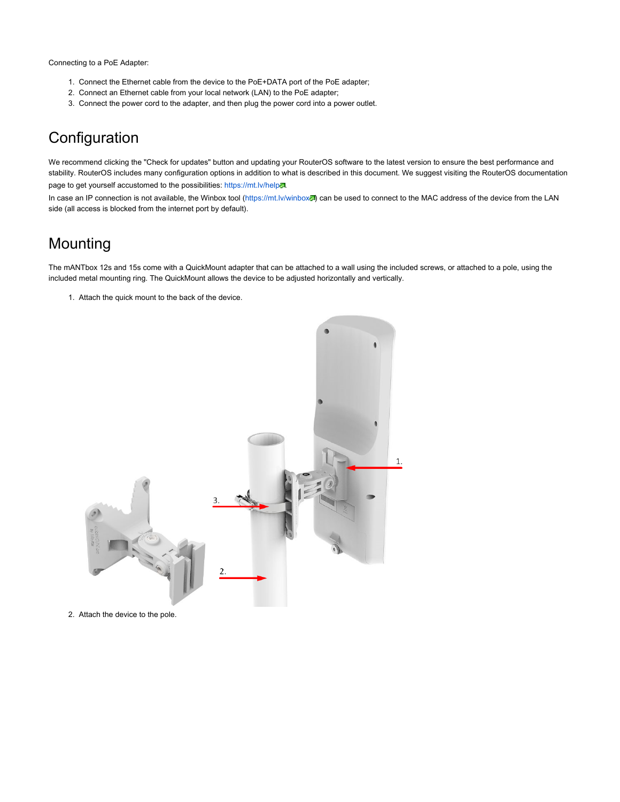Connecting to a PoE Adapter:

- 1. Connect the Ethernet cable from the device to the PoE+DATA port of the PoE adapter;
- 2. Connect an Ethernet cable from your local network (LAN) to the PoE adapter;
- 3. Connect the power cord to the adapter, and then plug the power cord into a power outlet.

## **Configuration**

We recommend clicking the "Check for updates" button and updating your RouterOS software to the latest version to ensure the best performance and stability. RouterOS includes many configuration options in addition to what is described in this document. We suggest visiting the RouterOS documentation page to get yourself accustomed to the possibilities: <https://mt.lv/help>.

In case an IP connection is not available, the Winbox tool [\(https://mt.lv/winbox](https://mt.lv/winbox)o] can be used to connect to the MAC address of the device from the LAN side (all access is blocked from the internet port by default).

## Mounting

The mANTbox 12s and 15s come with a QuickMount adapter that can be attached to a wall using the included screws, or attached to a pole, using the included metal mounting ring. The QuickMount allows the device to be adjusted horizontally and vertically.

1. Attach the quick mount to the back of the device.



2. Attach the device to the pole.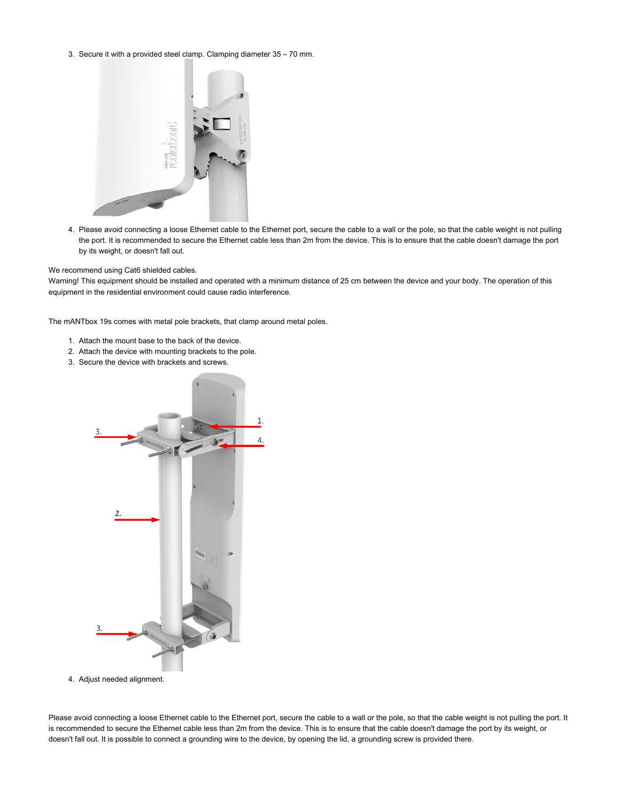3. Secure it with a provided steel clamp. Clamping diameter 35 – 70 mm.



4. Please avoid connecting a loose Ethernet cable to the Ethernet port, secure the cable to a wall or the pole, so that the cable weight is not pulling the port. It is recommended to secure the Ethernet cable less than 2m from the device. This is to ensure that the cable doesn't damage the port by its weight, or doesn't fall out.

We recommend using Cat6 shielded cables.

Warning! This equipment should be installed and operated with a minimum distance of 25 cm between the device and your body. The operation of this equipment in the residential environment could cause radio interference.

The mANTbox 19s comes with metal pole brackets, that clamp around metal poles.

- 1. Attach the mount base to the back of the device.
- 2. Attach the device with mounting brackets to the pole.
- 3. Secure the device with brackets and screws.



4. Adjust needed alignment.

Please avoid connecting a loose Ethernet cable to the Ethernet port, secure the cable to a wall or the pole, so that the cable weight is not pulling the port. It is recommended to secure the Ethernet cable less than 2m from the device. This is to ensure that the cable doesn't damage the port by its weight, or doesn't fall out. It is possible to connect a grounding wire to the device, by opening the lid, a grounding screw is provided there.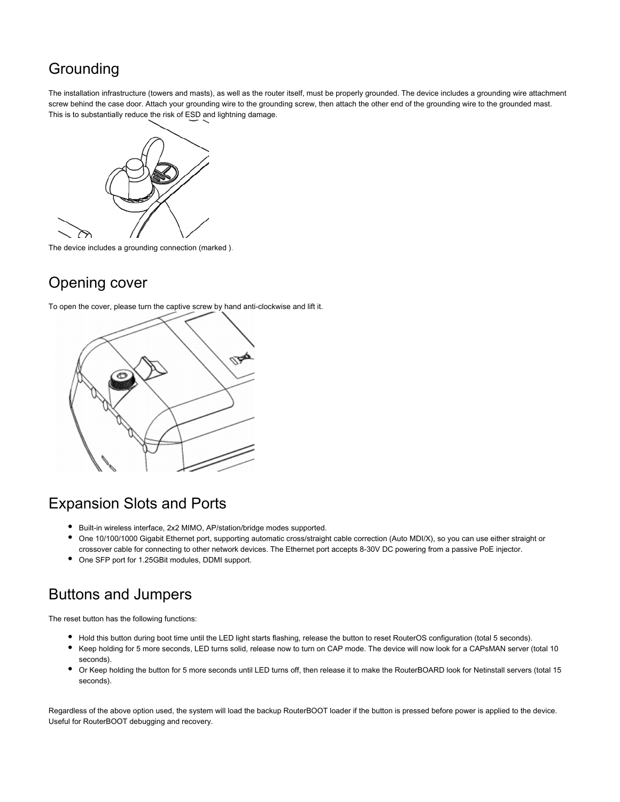# Grounding

The installation infrastructure (towers and masts), as well as the router itself, must be properly grounded. The device includes a grounding wire attachment screw behind the case door. Attach your grounding wire to the grounding screw, then attach the other end of the grounding wire to the grounded mast. This is to substantially reduce the risk of ESD and lightning damage.



The device includes a grounding connection (marked ).

# Opening cover

To open the cover, please turn the captive screw by hand anti-clockwise and lift it.



## Expansion Slots and Ports

- Built-in wireless interface, 2x2 MIMO, AP/station/bridge modes supported.
- One 10/100/1000 Gigabit Ethernet port, supporting automatic cross/straight cable correction (Auto MDI/X), so you can use either straight or crossover cable for connecting to other network devices. The Ethernet port accepts 8-30V DC powering from a passive PoE injector.
- One SFP port for 1.25GBit modules, DDMI support.

# Buttons and Jumpers

The reset button has the following functions:

- Hold this button during boot time until the LED light starts flashing, release the button to reset RouterOS configuration (total 5 seconds).
- Keep holding for 5 more seconds, LED turns solid, release now to turn on CAP mode. The device will now look for a CAPsMAN server (total 10 seconds).
- Or Keep holding the button for 5 more seconds until LED turns off, then release it to make the RouterBOARD look for Netinstall servers (total 15 seconds).

Regardless of the above option used, the system will load the backup RouterBOOT loader if the button is pressed before power is applied to the device. Useful for RouterBOOT debugging and recovery.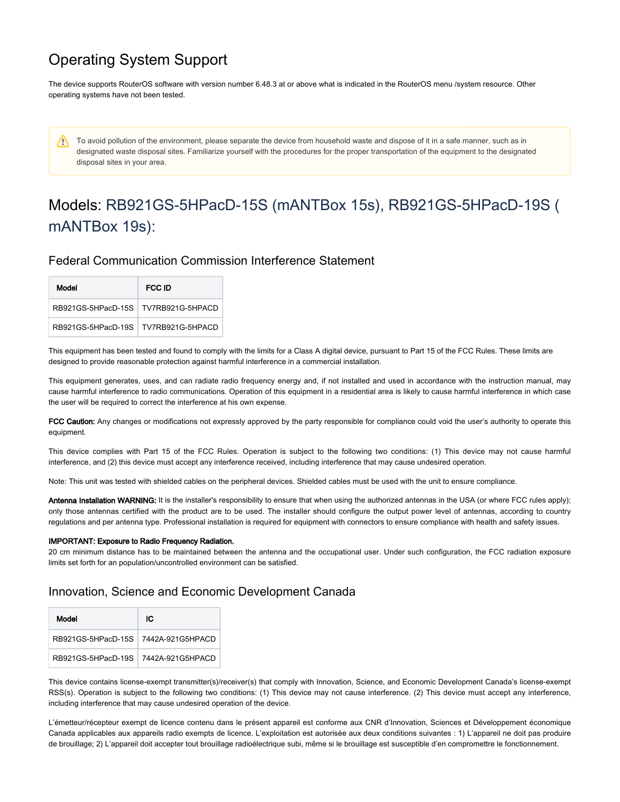## Operating System Support

The device supports RouterOS software with version number 6.48.3 at or above what is indicated in the RouterOS menu /system resource. Other operating systems have not been tested.

To avoid pollution of the environment, please separate the device from household waste and dispose of it in a safe manner, such as in W designated waste disposal sites. Familiarize yourself with the procedures for the proper transportation of the equipment to the designated disposal sites in your area.

# Models: RB921GS-5HPacD-15S (mANTBox 15s), RB921GS-5HPacD-19S ( mANTBox 19s):

## Federal Communication Commission Interference Statement

| Model                                 | FCC ID |
|---------------------------------------|--------|
| RB921GS-5HPacD-15S   TV7RB921G-5HPACD |        |
| RB921GS-5HPacD-19S   TV7RB921G-5HPACD |        |

This equipment has been tested and found to comply with the limits for a Class A digital device, pursuant to Part 15 of the FCC Rules. These limits are designed to provide reasonable protection against harmful interference in a commercial installation.

This equipment generates, uses, and can radiate radio frequency energy and, if not installed and used in accordance with the instruction manual, may cause harmful interference to radio communications. Operation of this equipment in a residential area is likely to cause harmful interference in which case the user will be required to correct the interference at his own expense.

FCC Caution: Any changes or modifications not expressly approved by the party responsible for compliance could void the user's authority to operate this equipment.

This device complies with Part 15 of the FCC Rules. Operation is subject to the following two conditions: (1) This device may not cause harmful interference, and (2) this device must accept any interference received, including interference that may cause undesired operation.

Note: This unit was tested with shielded cables on the peripheral devices. Shielded cables must be used with the unit to ensure compliance.

Antenna Installation WARNING: It is the installer's responsibility to ensure that when using the authorized antennas in the USA (or where FCC rules apply); only those antennas certified with the product are to be used. The installer should configure the output power level of antennas, according to country regulations and per antenna type. Professional installation is required for equipment with connectors to ensure compliance with health and safety issues.

#### IMPORTANT: Exposure to Radio Frequency Radiation.

20 cm minimum distance has to be maintained between the antenna and the occupational user. Under such configuration, the FCC radiation exposure limits set forth for an population/uncontrolled environment can be satisfied.

### Innovation, Science and Economic Development Canada

| Model                               | ЮC |
|-------------------------------------|----|
| RB921GS-5HPacD-15S 7442A-921G5HPACD |    |
| RB921GS-5HPacD-19S 7442A-921G5HPACD |    |

This device contains license-exempt transmitter(s)/receiver(s) that comply with Innovation, Science, and Economic Development Canada's license-exempt RSS(s). Operation is subject to the following two conditions: (1) This device may not cause interference. (2) This device must accept any interference, including interference that may cause undesired operation of the device.

L'émetteur/récepteur exempt de licence contenu dans le présent appareil est conforme aux CNR d'Innovation, Sciences et Développement économique Canada applicables aux appareils radio exempts de licence. L'exploitation est autorisée aux deux conditions suivantes : 1) L'appareil ne doit pas produire de brouillage; 2) L'appareil doit accepter tout brouillage radioélectrique subi, même si le brouillage est susceptible d'en compromettre le fonctionnement.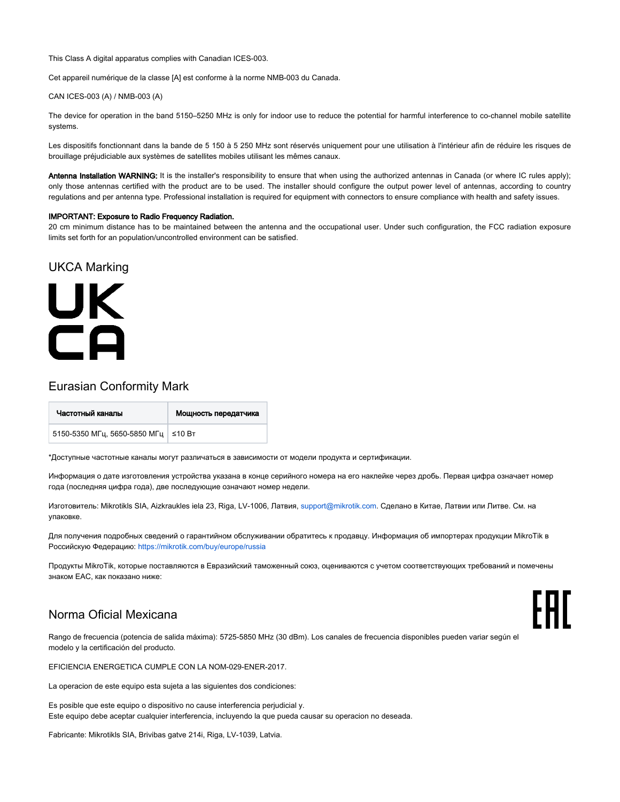This Class A digital apparatus complies with Canadian ICES-003.

Cet appareil numérique de la classe [A] est conforme à la norme NMB-003 du Canada.

CAN ICES-003 (A) / NMB-003 (A)

The device for operation in the band 5150–5250 MHz is only for indoor use to reduce the potential for harmful interference to co-channel mobile satellite systems.

Les dispositifs fonctionnant dans la bande de 5 150 à 5 250 MHz sont réservés uniquement pour une utilisation à l'intérieur afin de réduire les risques de brouillage préjudiciable aux systèmes de satellites mobiles utilisant les mêmes canaux.

Antenna Installation WARNING: It is the installer's responsibility to ensure that when using the authorized antennas in Canada (or where IC rules apply); only those antennas certified with the product are to be used. The installer should configure the output power level of antennas, according to country regulations and per antenna type. Professional installation is required for equipment with connectors to ensure compliance with health and safety issues.

#### IMPORTANT: Exposure to Radio Frequency Radiation.

20 cm minimum distance has to be maintained between the antenna and the occupational user. Under such configuration, the FCC radiation exposure limits set forth for an population/uncontrolled environment can be satisfied.

#### UKCA Marking

# UK  $\overline{\mathsf{C}}\mathsf{A}$

### Eurasian Conformity Mark

| Частотный каналы                      | Мощность передатчика |
|---------------------------------------|----------------------|
| 5150-5350 МГц, 5650-5850 МГц   ≤10 Вт |                      |

\*Доступные частотные каналы могут различаться в зависимости от модели продукта и сертификации.

Информация о дате изготовления устройства указана в конце серийного номера на его наклейке через дробь. Первая цифра означает номер года (последняя цифра года), две последующие означают номер недели.

Изготовитель: Mikrotikls SIA, Aizkraukles iela 23, Riga, LV-1006, Латвия, [support@mikrotik.com.](mailto:support@mikrotik.com) Сделано в Китае, Латвии или Литве. Cм. на упаковке.

Для получения подробных сведений о гарантийном обслуживании обратитесь к продавцу. Информация об импортерах продукции MikroTik в Российскую Федерацию:<https://mikrotik.com/buy/europe/russia>

Продукты MikroTik, которые поставляются в Евразийский таможенный союз, оцениваются с учетом соответствующих требований и помечены знаком EAC, как показано ниже:

## Norma Oficial Mexicana

Rango de frecuencia (potencia de salida máxima): 5725-5850 MHz (30 dBm). Los canales de frecuencia disponibles pueden variar según el modelo y la certificación del producto.

EFICIENCIA ENERGETICA CUMPLE CON LA NOM-029-ENER-2017.

La operacion de este equipo esta sujeta a las siguientes dos condiciones:

Es posible que este equipo o dispositivo no cause interferencia perjudicial y. Este equipo debe aceptar cualquier interferencia, incluyendo la que pueda causar su operacion no deseada.

Fabricante: Mikrotikls SIA, Brivibas gatve 214i, Riga, LV-1039, Latvia.

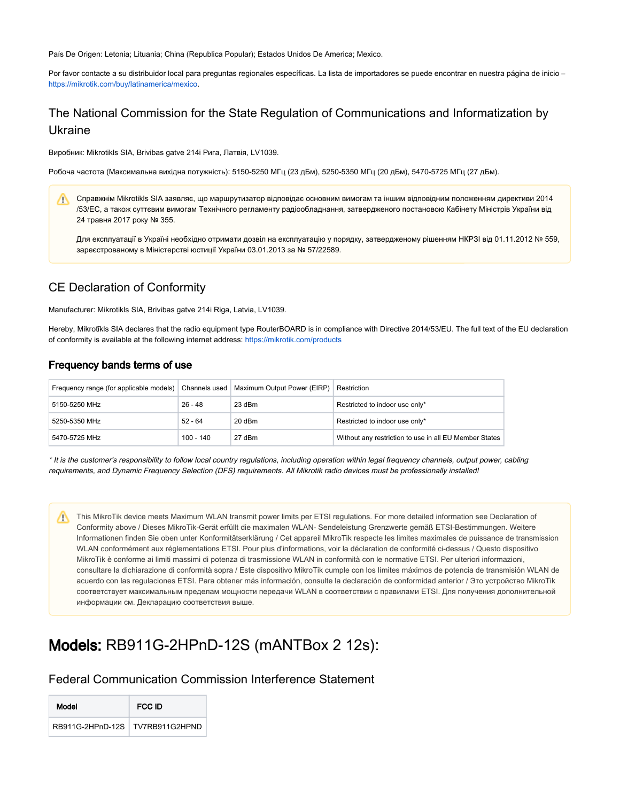País De Origen: Letonia; Lituania; China (Republica Popular); Estados Unidos De America; Mexico.

Por favor contacte a su distribuidor local para preguntas regionales específicas. La lista de importadores se puede encontrar en nuestra página de inicio – <https://mikrotik.com/buy/latinamerica/mexico>.

## The National Commission for the State Regulation of Communications and Informatization by Ukraine

Виробник: Mikrotikls SIA, Brivibas gatve 214i Рига, Латвія, LV1039.

Робоча частота (Максимальна вихідна потужність): 5150-5250 МГц (23 дБм), 5250-5350 МГц (20 дБм), 5470-5725 МГц (27 дБм).

Справжнім Mikrotikls SIA заявляє, що маршрутизатор відповідає основним вимогам та іншим відповідним положенням директиви 2014 /53/EC, а також суттєвим вимогам Технічного регламенту радіообладнання, затвердженого постановою Кабінету Міністрів України від 24 травня 2017 року № 355.

Для експлуатації в Україні необхідно отримати дозвіл на експлуатацію у порядку, затвердженому рішенням НКРЗІ від 01.11.2012 № 559, зареєстрованому в Міністерстві юстиції України 03.01.2013 за № 57/22589.

## CE Declaration of Conformity

Manufacturer: Mikrotikls SIA, Brivibas gatve 214i Riga, Latvia, LV1039.

Hereby, Mikrotīkls SIA declares that the radio equipment type RouterBOARD is in compliance with Directive 2014/53/EU. The full text of the EU declaration of conformity is available at the following internet address: <https://mikrotik.com/products>

#### Frequency bands terms of use

| Frequency range (for applicable models) Channels used |             | Maximum Output Power (EIRP) | Restriction                                            |
|-------------------------------------------------------|-------------|-----------------------------|--------------------------------------------------------|
| 5150-5250 MHz                                         | $26 - 48$   | 23 dBm                      | Restricted to indoor use only*                         |
| 5250-5350 MHz                                         | $52 - 64$   | 20 dBm                      | Restricted to indoor use only*                         |
| 5470-5725 MHz                                         | $100 - 140$ | 27 dBm                      | Without any restriction to use in all EU Member States |

\* It is the customer's responsibility to follow local country regulations, including operation within legal frequency channels, output power, cabling requirements, and Dynamic Frequency Selection (DFS) requirements. All Mikrotik radio devices must be professionally installed!

This MikroTik device meets Maximum WLAN transmit power limits per ETSI regulations. For more detailed information see Declaration of Conformity above / Dieses MikroTik-Gerät erfüllt die maximalen WLAN- Sendeleistung Grenzwerte gemäß ETSI-Bestimmungen. Weitere Informationen finden Sie oben unter Konformitätserklärung / Cet appareil MikroTik respecte les limites maximales de puissance de transmission WLAN conformément aux réglementations ETSI. Pour plus d'informations, voir la déclaration de conformité ci-dessus / Questo dispositivo MikroTik è conforme ai limiti massimi di potenza di trasmissione WLAN in conformità con le normative ETSI. Per ulteriori informazioni, consultare la dichiarazione di conformità sopra / Este dispositivo MikroTik cumple con los límites máximos de potencia de transmisión WLAN de acuerdo con las regulaciones ETSI. Para obtener más información, consulte la declaración de conformidad anterior / Это устройство MikroTik соответствует максимальным пределам мощности передачи WLAN в соответствии с правилами ETSI. Для получения дополнительной информации см. Декларацию соответствия выше.

## Models: RB911G-2HPnD-12S (mANTBox 2 12s):

#### Federal Communication Commission Interference Statement

| Model |                                   | FCC ID |  |
|-------|-----------------------------------|--------|--|
|       | RB911G-2HPnD-12S   TV7RB911G2HPND |        |  |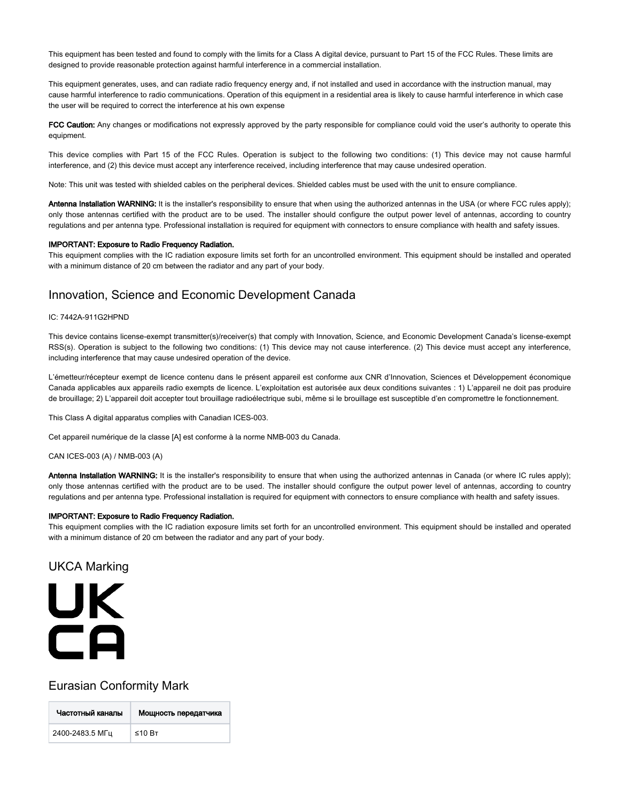This equipment has been tested and found to comply with the limits for a Class A digital device, pursuant to Part 15 of the FCC Rules. These limits are designed to provide reasonable protection against harmful interference in a commercial installation.

This equipment generates, uses, and can radiate radio frequency energy and, if not installed and used in accordance with the instruction manual, may cause harmful interference to radio communications. Operation of this equipment in a residential area is likely to cause harmful interference in which case the user will be required to correct the interference at his own expense

FCC Caution: Any changes or modifications not expressly approved by the party responsible for compliance could void the user's authority to operate this equipment.

This device complies with Part 15 of the FCC Rules. Operation is subject to the following two conditions: (1) This device may not cause harmful interference, and (2) this device must accept any interference received, including interference that may cause undesired operation.

Note: This unit was tested with shielded cables on the peripheral devices. Shielded cables must be used with the unit to ensure compliance.

Antenna Installation WARNING: It is the installer's responsibility to ensure that when using the authorized antennas in the USA (or where FCC rules apply); only those antennas certified with the product are to be used. The installer should configure the output power level of antennas, according to country regulations and per antenna type. Professional installation is required for equipment with connectors to ensure compliance with health and safety issues.

#### IMPORTANT: Exposure to Radio Frequency Radiation.

This equipment complies with the IC radiation exposure limits set forth for an uncontrolled environment. This equipment should be installed and operated with a minimum distance of 20 cm between the radiator and any part of your body.

#### Innovation, Science and Economic Development Canada

#### IC: 7442A-911G2HPND

This device contains license-exempt transmitter(s)/receiver(s) that comply with Innovation, Science, and Economic Development Canada's license-exempt RSS(s). Operation is subject to the following two conditions: (1) This device may not cause interference. (2) This device must accept any interference, including interference that may cause undesired operation of the device.

L'émetteur/récepteur exempt de licence contenu dans le présent appareil est conforme aux CNR d'Innovation, Sciences et Développement économique Canada applicables aux appareils radio exempts de licence. L'exploitation est autorisée aux deux conditions suivantes : 1) L'appareil ne doit pas produire de brouillage; 2) L'appareil doit accepter tout brouillage radioélectrique subi, même si le brouillage est susceptible d'en compromettre le fonctionnement.

This Class A digital apparatus complies with Canadian ICES-003.

Cet appareil numérique de la classe [A] est conforme à la norme NMB-003 du Canada.

CAN ICES-003 (A) / NMB-003 (A)

Antenna Installation WARNING: It is the installer's responsibility to ensure that when using the authorized antennas in Canada (or where IC rules apply); only those antennas certified with the product are to be used. The installer should configure the output power level of antennas, according to country regulations and per antenna type. Professional installation is required for equipment with connectors to ensure compliance with health and safety issues.

#### IMPORTANT: Exposure to Radio Frequency Radiation.

This equipment complies with the IC radiation exposure limits set forth for an uncontrolled environment. This equipment should be installed and operated with a minimum distance of 20 cm between the radiator and any part of your body.

#### UKCA Marking



#### Eurasian Conformity Mark

| Частотный каналы | Мощность передатчика |
|------------------|----------------------|
| 2400-2483.5 МГц  | ≤10 B <sub>T</sub>   |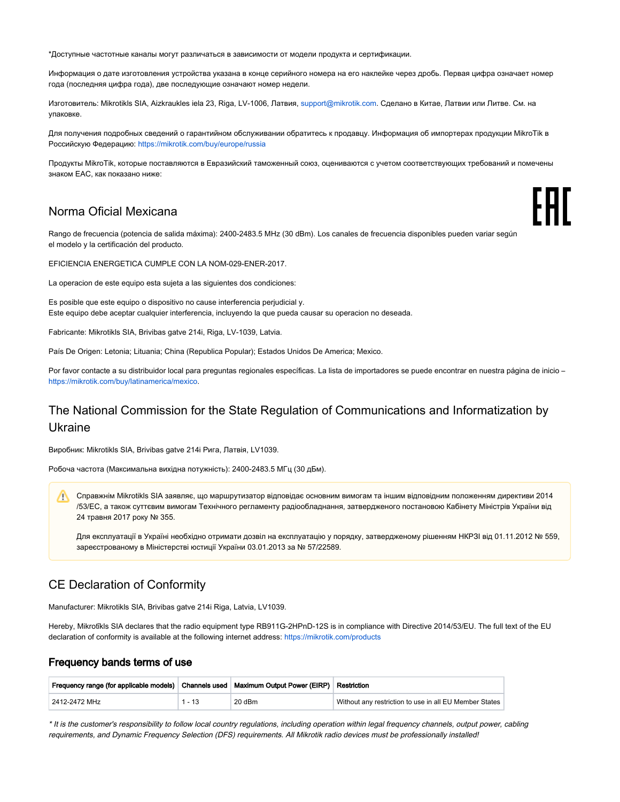\*Доступные частотные каналы могут различаться в зависимости от модели продукта и сертификации.

Информация о дате изготовления устройства указана в конце серийного номера на его наклейке через дробь. Первая цифра означает номер года (последняя цифра года), две последующие означают номер недели.

Изготовитель: Mikrotikls SIA, Aizkraukles iela 23, Riga, LV-1006, Латвия, [support@mikrotik.com.](mailto:support@mikrotik.com) Сделано в Китае, Латвии или Литве. Cм. на упаковке.

Для получения подробных сведений о гарантийном обслуживании обратитесь к продавцу. Информация об импортерах продукции MikroTik в Российскую Федерацию:<https://mikrotik.com/buy/europe/russia>

Продукты MikroTik, которые поставляются в Евразийский таможенный союз, оцениваются с учетом соответствующих требований и помечены знаком EAC, как показано ниже:

FAT

#### Norma Oficial Mexicana

Rango de frecuencia (potencia de salida máxima): 2400-2483.5 MHz (30 dBm). Los canales de frecuencia disponibles pueden variar según el modelo y la certificación del producto.

EFICIENCIA ENERGETICA CUMPLE CON LA NOM-029-ENER-2017.

La operacion de este equipo esta sujeta a las siguientes dos condiciones:

Es posible que este equipo o dispositivo no cause interferencia perjudicial y. Este equipo debe aceptar cualquier interferencia, incluyendo la que pueda causar su operacion no deseada.

Fabricante: Mikrotikls SIA, Brivibas gatve 214i, Riga, LV-1039, Latvia.

País De Origen: Letonia; Lituania; China (Republica Popular); Estados Unidos De America; Mexico.

Por favor contacte a su distribuidor local para preguntas regionales específicas. La lista de importadores se puede encontrar en nuestra página de inicio – <https://mikrotik.com/buy/latinamerica/mexico>.

## The National Commission for the State Regulation of Communications and Informatization by Ukraine

Виробник: Mikrotikls SIA, Brivibas gatve 214i Рига, Латвія, LV1039.

Робоча частота (Максимальна вихідна потужність): 2400-2483.5 МГц (30 дБм).

Справжнім Mikrotikls SIA заявляє, що маршрутизатор відповідає основним вимогам та іншим відповідним положенням директиви 2014 /53/EC, а також суттєвим вимогам Технічного регламенту радіообладнання, затвердженого постановою Кабінету Міністрів України від 24 травня 2017 року № 355.

Для експлуатації в Україні необхідно отримати дозвіл на експлуатацію у порядку, затвердженому рішенням НКРЗІ від 01.11.2012 № 559, зареєстрованому в Міністерстві юстиції України 03.01.2013 за № 57/22589.

## CE Declaration of Conformity

Manufacturer: Mikrotikls SIA, Brivibas gatve 214i Riga, Latvia, LV1039.

Hereby, Mikrotīkls SIA declares that the radio equipment type RB911G-2HPnD-12S is in compliance with Directive 2014/53/EU. The full text of the EU declaration of conformity is available at the following internet address: <https://mikrotik.com/products>

#### Frequency bands terms of use

| Frequency range (for applicable models)   Channels used   Maximum Output Power (EIRP)   Restriction |          |        |                                                        |
|-----------------------------------------------------------------------------------------------------|----------|--------|--------------------------------------------------------|
| 2412-2472 MHz                                                                                       | $1 - 13$ | 20 dBm | Without any restriction to use in all EU Member States |

\* It is the customer's responsibility to follow local country regulations, including operation within legal frequency channels, output power, cabling requirements, and Dynamic Frequency Selection (DFS) requirements. All Mikrotik radio devices must be professionally installed!